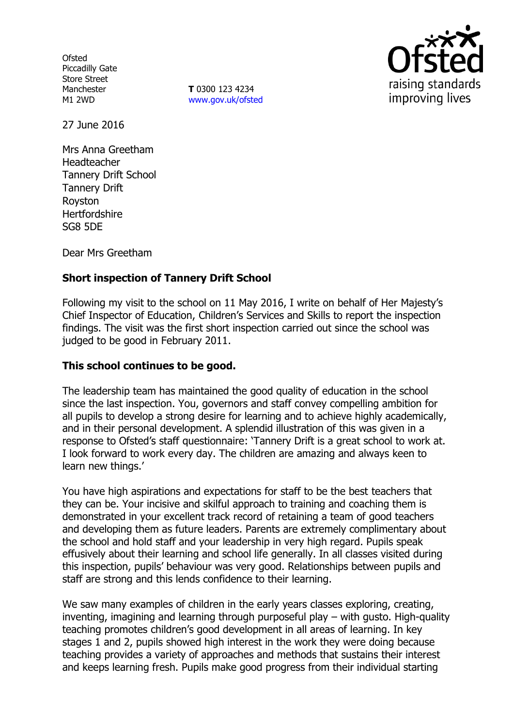**Ofsted** Piccadilly Gate Store Street Manchester M1 2WD

**T** 0300 123 4234 www.gov.uk/ofsted



27 June 2016

Mrs Anna Greetham Headteacher Tannery Drift School Tannery Drift Royston **Hertfordshire** SG8 5DE

Dear Mrs Greetham

# **Short inspection of Tannery Drift School**

Following my visit to the school on 11 May 2016, I write on behalf of Her Majesty's Chief Inspector of Education, Children's Services and Skills to report the inspection findings. The visit was the first short inspection carried out since the school was judged to be good in February 2011.

### **This school continues to be good.**

The leadership team has maintained the good quality of education in the school since the last inspection. You, governors and staff convey compelling ambition for all pupils to develop a strong desire for learning and to achieve highly academically, and in their personal development. A splendid illustration of this was given in a response to Ofsted's staff questionnaire: 'Tannery Drift is a great school to work at. I look forward to work every day. The children are amazing and always keen to learn new things.'

You have high aspirations and expectations for staff to be the best teachers that they can be. Your incisive and skilful approach to training and coaching them is demonstrated in your excellent track record of retaining a team of good teachers and developing them as future leaders. Parents are extremely complimentary about the school and hold staff and your leadership in very high regard. Pupils speak effusively about their learning and school life generally. In all classes visited during this inspection, pupils' behaviour was very good. Relationships between pupils and staff are strong and this lends confidence to their learning.

We saw many examples of children in the early years classes exploring, creating, inventing, imagining and learning through purposeful play – with gusto. High-quality teaching promotes children's good development in all areas of learning. In key stages 1 and 2, pupils showed high interest in the work they were doing because teaching provides a variety of approaches and methods that sustains their interest and keeps learning fresh. Pupils make good progress from their individual starting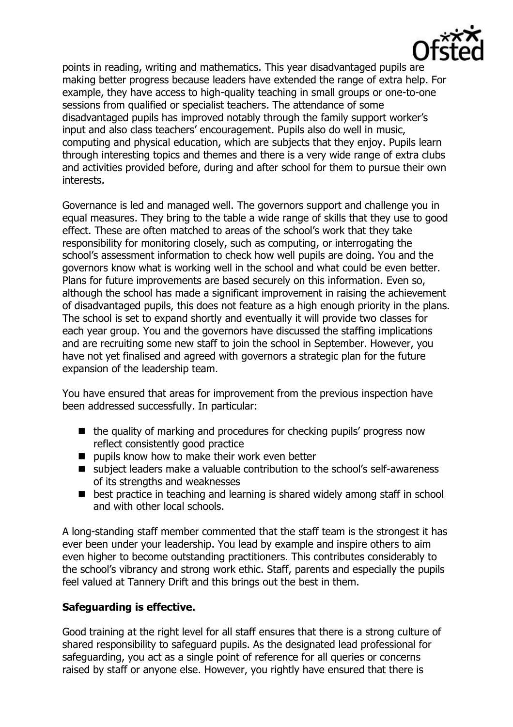

points in reading, writing and mathematics. This year disadvantaged pupils are making better progress because leaders have extended the range of extra help. For example, they have access to high-quality teaching in small groups or one-to-one sessions from qualified or specialist teachers. The attendance of some disadvantaged pupils has improved notably through the family support worker's input and also class teachers' encouragement. Pupils also do well in music, computing and physical education, which are subjects that they enjoy. Pupils learn through interesting topics and themes and there is a very wide range of extra clubs and activities provided before, during and after school for them to pursue their own interests.

Governance is led and managed well. The governors support and challenge you in equal measures. They bring to the table a wide range of skills that they use to good effect. These are often matched to areas of the school's work that they take responsibility for monitoring closely, such as computing, or interrogating the school's assessment information to check how well pupils are doing. You and the governors know what is working well in the school and what could be even better. Plans for future improvements are based securely on this information. Even so, although the school has made a significant improvement in raising the achievement of disadvantaged pupils, this does not feature as a high enough priority in the plans. The school is set to expand shortly and eventually it will provide two classes for each year group. You and the governors have discussed the staffing implications and are recruiting some new staff to join the school in September. However, you have not yet finalised and agreed with governors a strategic plan for the future expansion of the leadership team.

You have ensured that areas for improvement from the previous inspection have been addressed successfully. In particular:

- $\blacksquare$  the quality of marking and procedures for checking pupils' progress now reflect consistently good practice
- $\blacksquare$  pupils know how to make their work even better
- subject leaders make a valuable contribution to the school's self-awareness of its strengths and weaknesses
- best practice in teaching and learning is shared widely among staff in school and with other local schools.

A long-standing staff member commented that the staff team is the strongest it has ever been under your leadership. You lead by example and inspire others to aim even higher to become outstanding practitioners. This contributes considerably to the school's vibrancy and strong work ethic. Staff, parents and especially the pupils feel valued at Tannery Drift and this brings out the best in them.

## **Safeguarding is effective.**

Good training at the right level for all staff ensures that there is a strong culture of shared responsibility to safeguard pupils. As the designated lead professional for safeguarding, you act as a single point of reference for all queries or concerns raised by staff or anyone else. However, you rightly have ensured that there is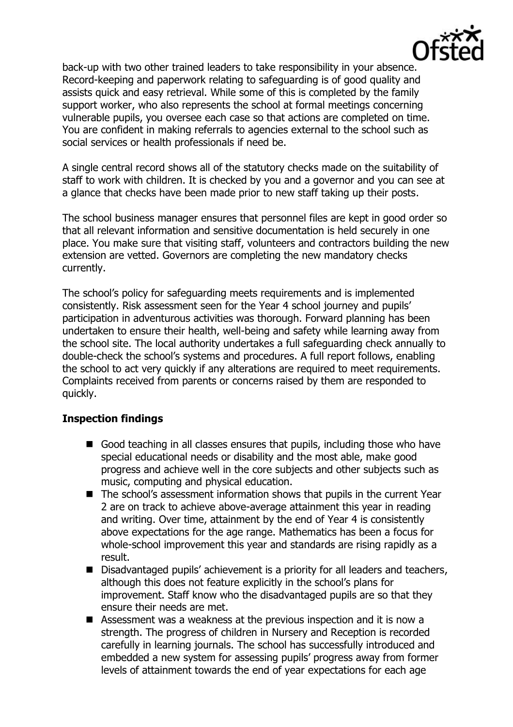

back-up with two other trained leaders to take responsibility in your absence. Record-keeping and paperwork relating to safeguarding is of good quality and assists quick and easy retrieval. While some of this is completed by the family support worker, who also represents the school at formal meetings concerning vulnerable pupils, you oversee each case so that actions are completed on time. You are confident in making referrals to agencies external to the school such as social services or health professionals if need be.

A single central record shows all of the statutory checks made on the suitability of staff to work with children. It is checked by you and a governor and you can see at a glance that checks have been made prior to new staff taking up their posts.

The school business manager ensures that personnel files are kept in good order so that all relevant information and sensitive documentation is held securely in one place. You make sure that visiting staff, volunteers and contractors building the new extension are vetted. Governors are completing the new mandatory checks currently.

The school's policy for safeguarding meets requirements and is implemented consistently. Risk assessment seen for the Year 4 school journey and pupils' participation in adventurous activities was thorough. Forward planning has been undertaken to ensure their health, well-being and safety while learning away from the school site. The local authority undertakes a full safeguarding check annually to double-check the school's systems and procedures. A full report follows, enabling the school to act very quickly if any alterations are required to meet requirements. Complaints received from parents or concerns raised by them are responded to quickly.

#### **Inspection findings**

- Good teaching in all classes ensures that pupils, including those who have special educational needs or disability and the most able, make good progress and achieve well in the core subjects and other subjects such as music, computing and physical education.
- The school's assessment information shows that pupils in the current Year 2 are on track to achieve above-average attainment this year in reading and writing. Over time, attainment by the end of Year 4 is consistently above expectations for the age range. Mathematics has been a focus for whole-school improvement this year and standards are rising rapidly as a result.
- Disadvantaged pupils' achievement is a priority for all leaders and teachers, although this does not feature explicitly in the school's plans for improvement. Staff know who the disadvantaged pupils are so that they ensure their needs are met.
- Assessment was a weakness at the previous inspection and it is now a strength. The progress of children in Nursery and Reception is recorded carefully in learning journals. The school has successfully introduced and embedded a new system for assessing pupils' progress away from former levels of attainment towards the end of year expectations for each age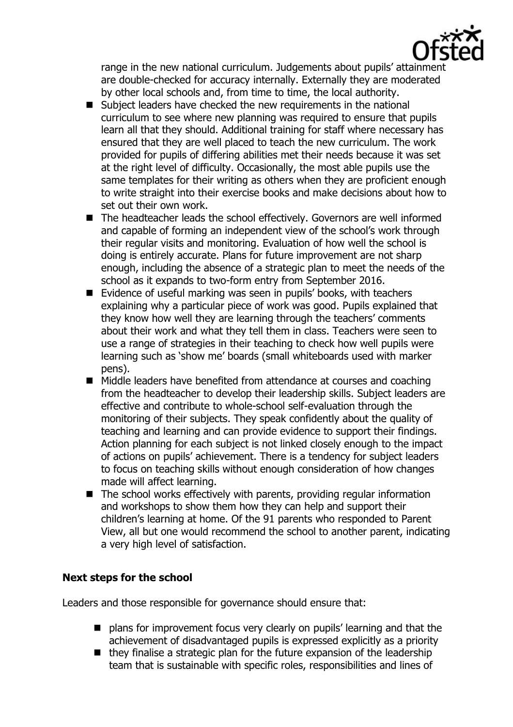

range in the new national curriculum. Judgements about pupils' attainment are double-checked for accuracy internally. Externally they are moderated by other local schools and, from time to time, the local authority.

- Subject leaders have checked the new requirements in the national curriculum to see where new planning was required to ensure that pupils learn all that they should. Additional training for staff where necessary has ensured that they are well placed to teach the new curriculum. The work provided for pupils of differing abilities met their needs because it was set at the right level of difficulty. Occasionally, the most able pupils use the same templates for their writing as others when they are proficient enough to write straight into their exercise books and make decisions about how to set out their own work.
- The headteacher leads the school effectively. Governors are well informed and capable of forming an independent view of the school's work through their regular visits and monitoring. Evaluation of how well the school is doing is entirely accurate. Plans for future improvement are not sharp enough, including the absence of a strategic plan to meet the needs of the school as it expands to two-form entry from September 2016.
- Evidence of useful marking was seen in pupils' books, with teachers explaining why a particular piece of work was good. Pupils explained that they know how well they are learning through the teachers' comments about their work and what they tell them in class. Teachers were seen to use a range of strategies in their teaching to check how well pupils were learning such as 'show me' boards (small whiteboards used with marker pens).
- Middle leaders have benefited from attendance at courses and coaching from the headteacher to develop their leadership skills. Subject leaders are effective and contribute to whole-school self-evaluation through the monitoring of their subjects. They speak confidently about the quality of teaching and learning and can provide evidence to support their findings. Action planning for each subject is not linked closely enough to the impact of actions on pupils' achievement. There is a tendency for subject leaders to focus on teaching skills without enough consideration of how changes made will affect learning.
- $\blacksquare$  The school works effectively with parents, providing regular information and workshops to show them how they can help and support their children's learning at home. Of the 91 parents who responded to Parent View, all but one would recommend the school to another parent, indicating a very high level of satisfaction.

## **Next steps for the school**

Leaders and those responsible for governance should ensure that:

- plans for improvement focus very clearly on pupils' learning and that the achievement of disadvantaged pupils is expressed explicitly as a priority
- $\blacksquare$  they finalise a strategic plan for the future expansion of the leadership team that is sustainable with specific roles, responsibilities and lines of